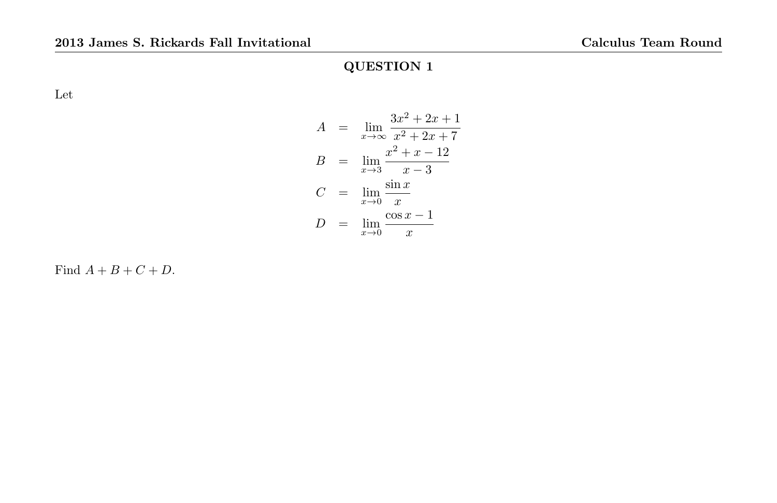Let

$$
A = \lim_{x \to \infty} \frac{3x^2 + 2x + 1}{x^2 + 2x + 7}
$$
  
\n
$$
B = \lim_{x \to 3} \frac{x^2 + x - 12}{x - 3}
$$
  
\n
$$
C = \lim_{x \to 0} \frac{\sin x}{x}
$$
  
\n
$$
D = \lim_{x \to 0} \frac{\cos x - 1}{x}
$$

Find  $A + B + C + D$ .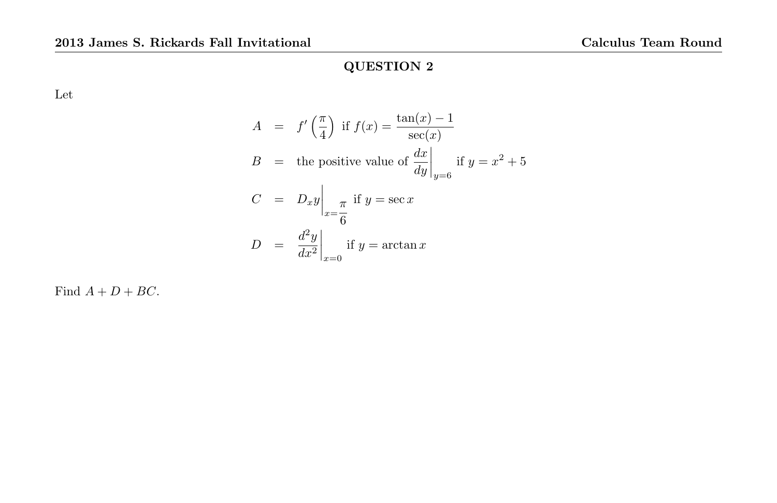Let

$$
A = f'(\frac{\pi}{4}) \text{ if } f(x) = \frac{\tan(x) - 1}{\sec(x)}
$$
  
\n
$$
B = \text{ the positive value of } \frac{dx}{dy}\Big|_{y=6} \text{ if } y = x^2 + 5
$$
  
\n
$$
C = D_x y \Big|_{x=\frac{\pi}{6}} \text{ if } y = \sec x
$$
  
\n
$$
D = \frac{d^2 y}{dx^2}\Big|_{x=0} \text{ if } y = \arctan x
$$

Find  $A + D + BC$ .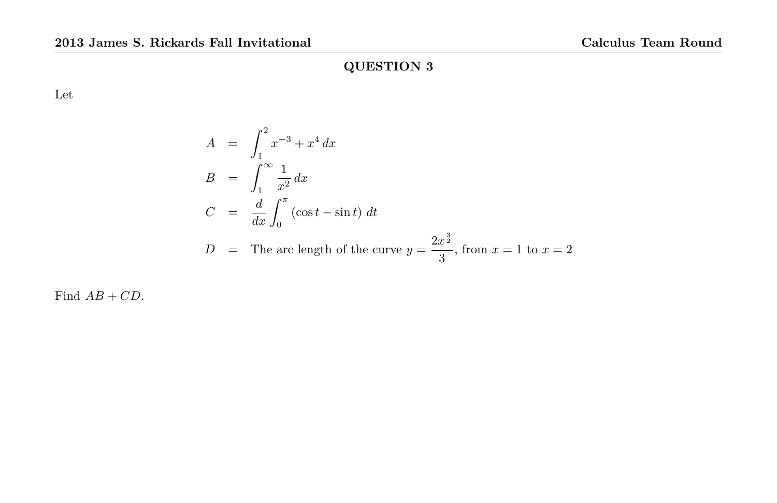Let

$$
A = \int_1^2 x^{-3} + x^4 dx
$$
  
\n
$$
B = \int_1^\infty \frac{1}{x^2} dx
$$
  
\n
$$
C = \frac{d}{dx} \int_0^\pi (\cos t - \sin t) dt
$$
  
\n
$$
D = \text{The arc length of the curve } y = \frac{2x^{\frac{3}{2}}}{3}, \text{ from } x = 1 \text{ to } x = 2
$$

Find  $AB + CD$ .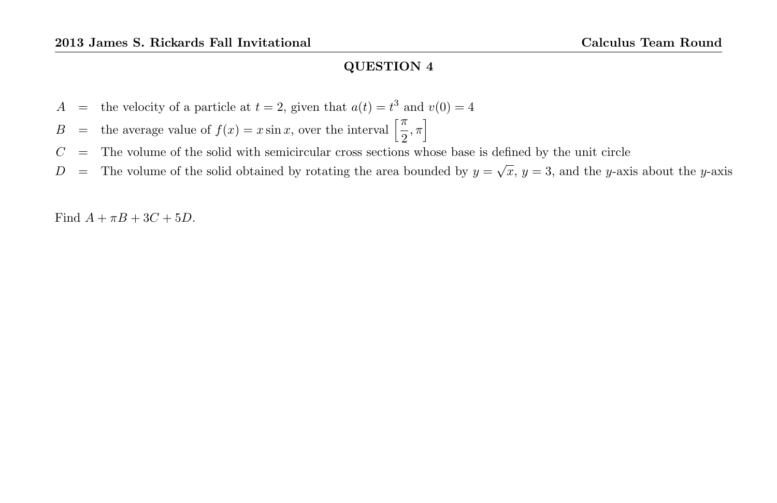- A = the velocity of a particle at  $t = 2$ , given that  $a(t) = t^3$  and  $v(0) = 4$
- B = the average value of  $f(x) = x \sin x$ , over the interval  $\left[\frac{\pi}{2}\right]$  $\frac{\pi}{2}, \pi$
- $C =$  The volume of the solid with semicircular cross sections whose base is defined by the unit circle
- D = The volume of the solid obtained by rotating the area bounded by  $y = \sqrt{x}$ ,  $y = 3$ , and the y-axis about the y-axis

Find  $A + \pi B + 3C + 5D$ .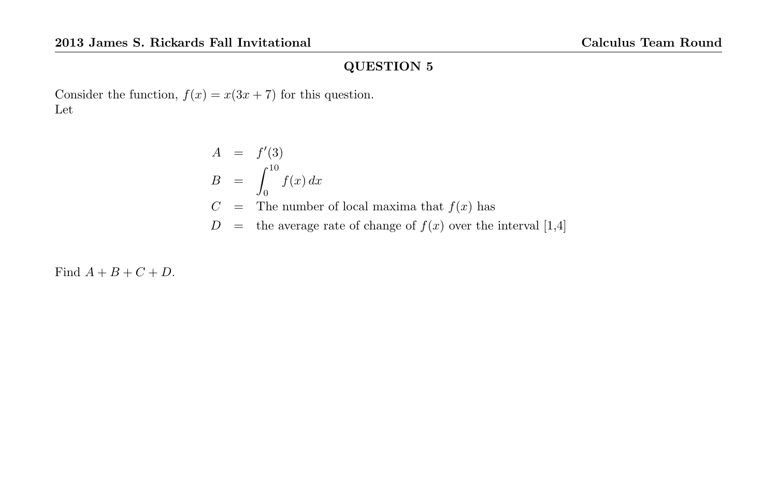Consider the function,  $f(x) = x(3x + 7)$  for this question. Let

$$
A = f'(3)
$$
  
\n
$$
B = \int_0^{10} f(x) dx
$$
  
\n
$$
C = \text{The number of local maxima that } f(x) \text{ has}
$$
  
\n
$$
D = \text{the average rate of change of } f(x) \text{ over the interval } [1,4]
$$

Find  $A + B + C + D$ .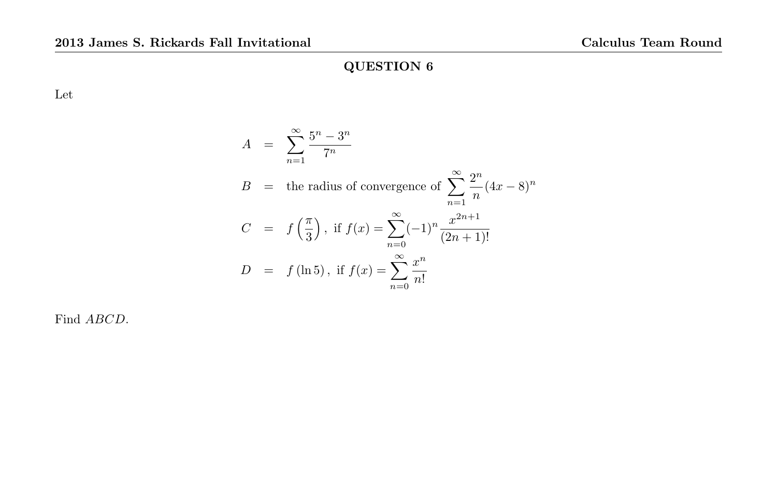Let

$$
A = \sum_{n=1}^{\infty} \frac{5^n - 3^n}{7^n}
$$
  
\n
$$
B = \text{the radius of convergence of } \sum_{n=1}^{\infty} \frac{2^n}{n} (4x - 8)^n
$$
  
\n
$$
C = f\left(\frac{\pi}{3}\right), \text{ if } f(x) = \sum_{n=0}^{\infty} (-1)^n \frac{x^{2n+1}}{(2n+1)!}
$$
  
\n
$$
D = f(\ln 5), \text{ if } f(x) = \sum_{n=0}^{\infty} \frac{x^n}{n!}
$$

Find ABCD.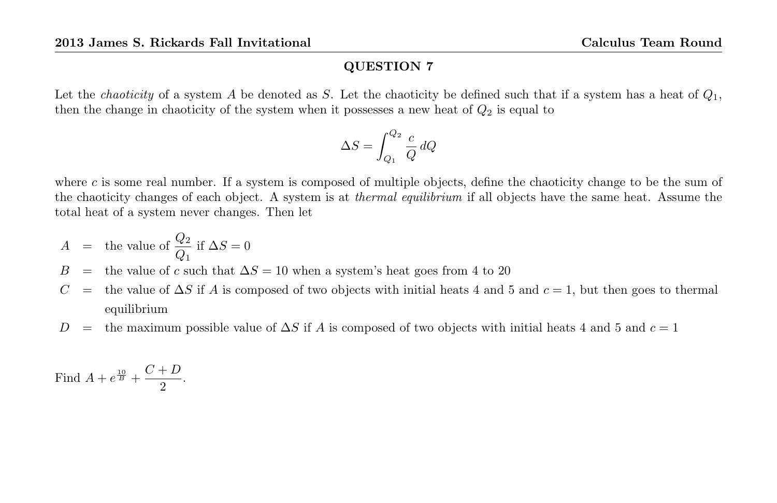Let the *chaoticity* of a system A be denoted as S. Let the chaoticity be defined such that if a system has a heat of  $Q_1$ , then the change in chaoticity of the system when it possesses a new heat of  $Q_2$  is equal to

$$
\Delta S = \int_{Q_1}^{Q_2} \frac{c}{Q} \, dQ
$$

where c is some real number. If a system is composed of multiple objects, define the chaoticity change to be the sum of the chaoticity changes of each object. A system is at *thermal equilibrium* if all objects have the same heat. Assume the total heat of a system never changes. Then let

$$
A = \text{the value of } \frac{Q_2}{Q_1} \text{ if } \Delta S = 0
$$

- B = the value of c such that  $\Delta S = 10$  when a system's heat goes from 4 to 20
- $C =$  the value of  $\Delta S$  if A is composed of two objects with initial heats 4 and 5 and  $c = 1$ , but then goes to thermal equilibrium
- D = the maximum possible value of  $\Delta S$  if A is composed of two objects with initial heats 4 and 5 and  $c = 1$

Find 
$$
A + e^{\frac{10}{B}} + \frac{C+D}{2}.
$$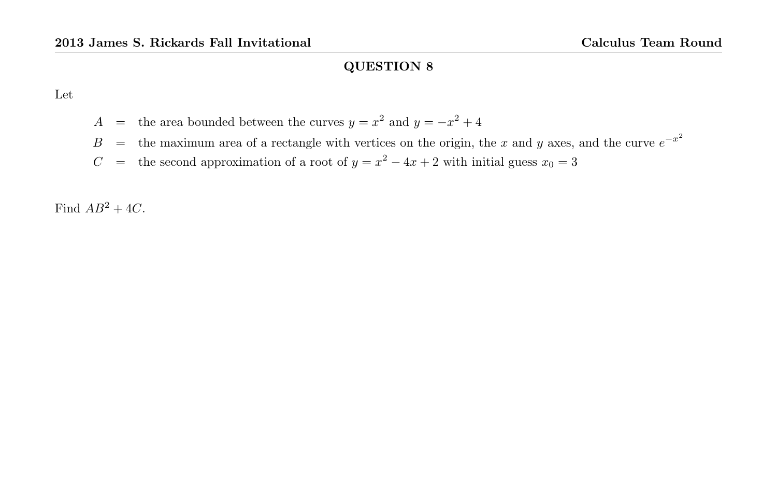Let

- A = the area bounded between the curves  $y = x^2$  and  $y = -x^2 + 4$
- B = the maximum area of a rectangle with vertices on the origin, the x and y axes, and the curve  $e^{-x^2}$
- C = the second approximation of a root of  $y = x^2 4x + 2$  with initial guess  $x_0 = 3$

Find  $AB^2 + 4C$ .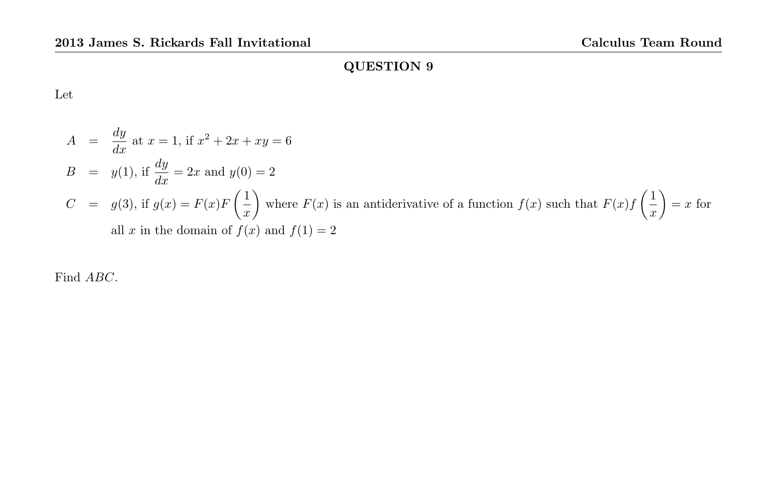Let

$$
A = \frac{dy}{dx} \text{ at } x = 1 \text{, if } x^2 + 2x + xy = 6
$$
  
\n
$$
B = y(1), \text{ if } \frac{dy}{dx} = 2x \text{ and } y(0) = 2
$$
  
\n
$$
C = g(3), \text{ if } g(x) = F(x)F\left(\frac{1}{x}\right) \text{ where } F(x) \text{ is an antiderivative of a function } f(x) \text{ such that } F(x)f\left(\frac{1}{x}\right) = x \text{ for all } x \text{ in the domain of } f(x) \text{ and } f(1) = 2
$$

Find ABC.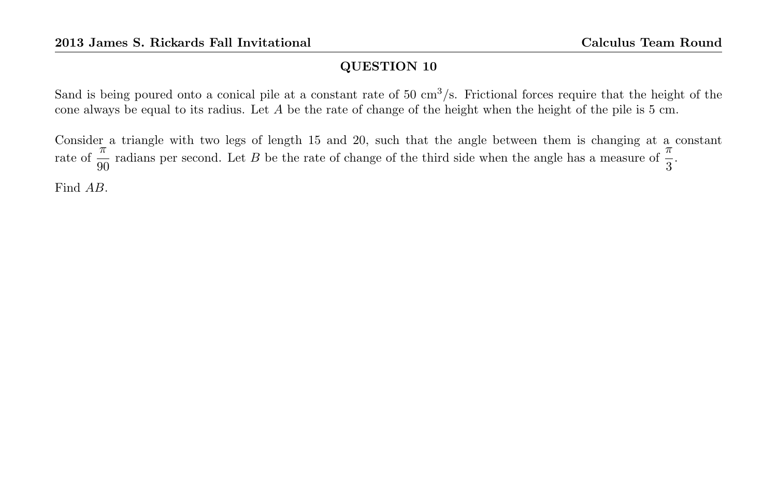Sand is being poured onto a conical pile at a constant rate of  $50 \text{ cm}^3/\text{s}$ . Frictional forces require that the height of the cone always be equal to its radius. Let  $A$  be the rate of change of the height when the height of the pile is  $5 \text{ cm}$ .

Consider a triangle with two legs of length 15 and 20, such that the angle between them is changing at a constant rate of  $\frac{\pi}{90}$  radians per second. Let B be the rate of change of the third side when the angle has a measure of  $\frac{\pi}{3}$ .

Find AB.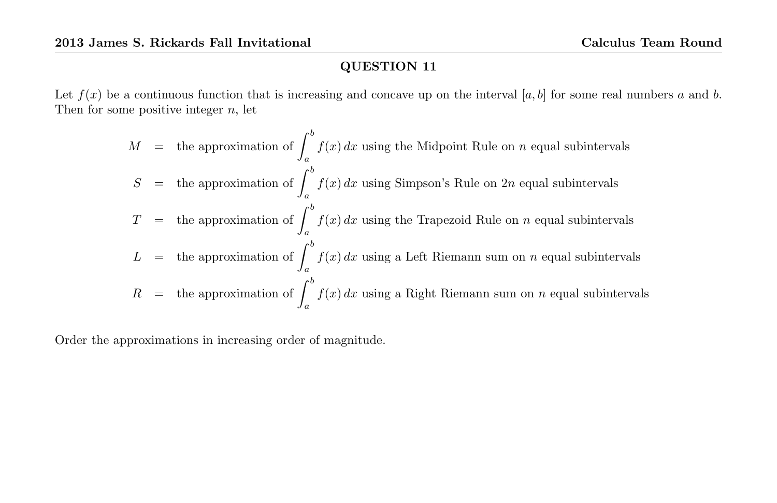Let  $f(x)$  be a continuous function that is increasing and concave up on the interval  $[a, b]$  for some real numbers a and b. Then for some positive integer  $n$ , let

$$
M =
$$
 the approximation of  $\int_{a}^{b} f(x) dx$  using the Midpoint Rule on *n* equal subintervals  
\n
$$
S =
$$
 the approximation of  $\int_{a}^{b} f(x) dx$  using Simpson's Rule on 2*n* equal subintervals  
\n
$$
T =
$$
 the approximation of  $\int_{a}^{b} f(x) dx$  using the Trapezoid Rule on *n* equal subintervals  
\n
$$
L =
$$
 the approximation of  $\int_{a}^{b} f(x) dx$  using a Left Riemann sum on *n* equal subintervals  
\n
$$
R =
$$
 the approximation of  $\int_{a}^{b} f(x) dx$  using a Right Riemann sum on *n* equal subintervals

Order the approximations in increasing order of magnitude.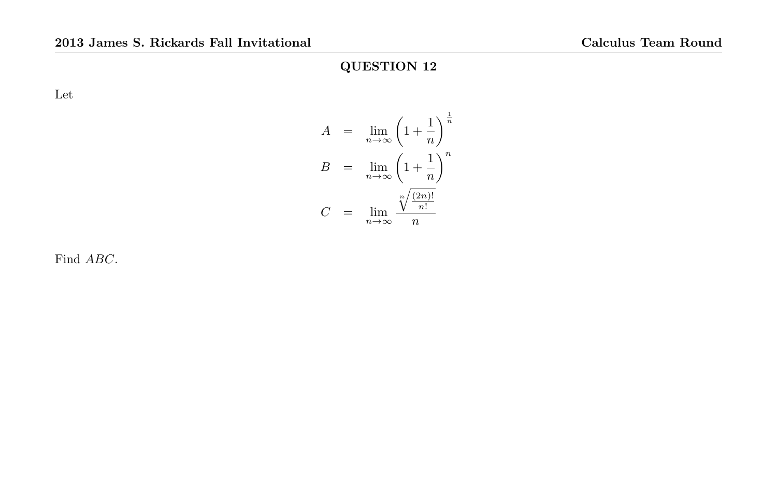Let

$$
A = \lim_{n \to \infty} \left( 1 + \frac{1}{n} \right)^{\frac{1}{n}}
$$

$$
B = \lim_{n \to \infty} \left( 1 + \frac{1}{n} \right)^n
$$

$$
C = \lim_{n \to \infty} \frac{\sqrt[n]{\frac{(2n)!}{n!}}}{n}
$$

Find ABC.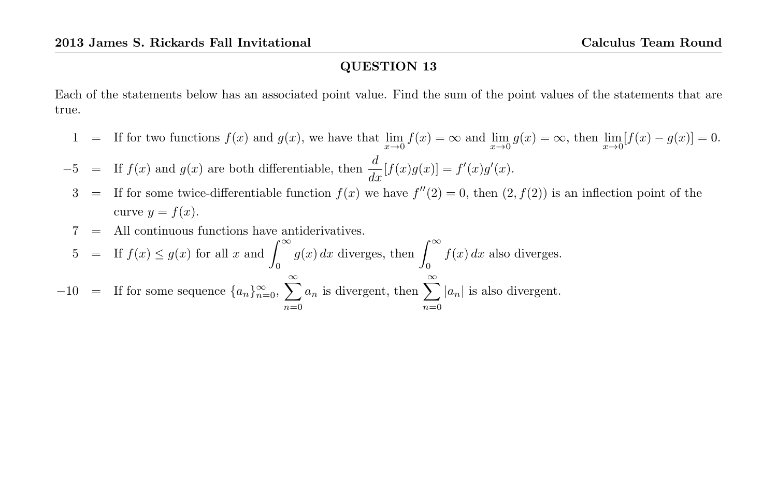Each of the statements below has an associated point value. Find the sum of the point values of the statements that are true.

1 = If for two functions  $f(x)$  and  $g(x)$ , we have that  $\lim_{x\to 0} f(x) = \infty$  and  $\lim_{x\to 0} g(x) = \infty$ , then  $\lim_{x\to 0} [f(x) - g(x)] = 0$ .

 $-5$  = If  $f(x)$  and  $g(x)$  are both differentiable, then  $\frac{d}{dx}[f(x)g(x)] = f'(x)g'(x)$ .

- 3 = If for some twice-differentiable function  $f(x)$  we have  $f''(2) = 0$ , then  $(2, f(2))$  is an inflection point of the curve  $y = f(x)$ .
- $=$  All continuous functions have antiderivatives.
- 5 = If  $f(x) \le g(x)$  for all x and  $\int_{-\infty}^{\infty}$ 0  $g(x) dx$  diverges, then  $\int_{-\infty}^{\infty}$ 0  $f(x) dx$  also diverges.  $-10$  = If for some sequence  $\{a_n\}_{n=0}^{\infty}$ ,  $\sum_{n=0}^{\infty}$  $n=0$  $a_n$  is divergent, then  $\sum_{n=1}^{\infty}$  $n=0$  $|a_n|$  is also divergent.